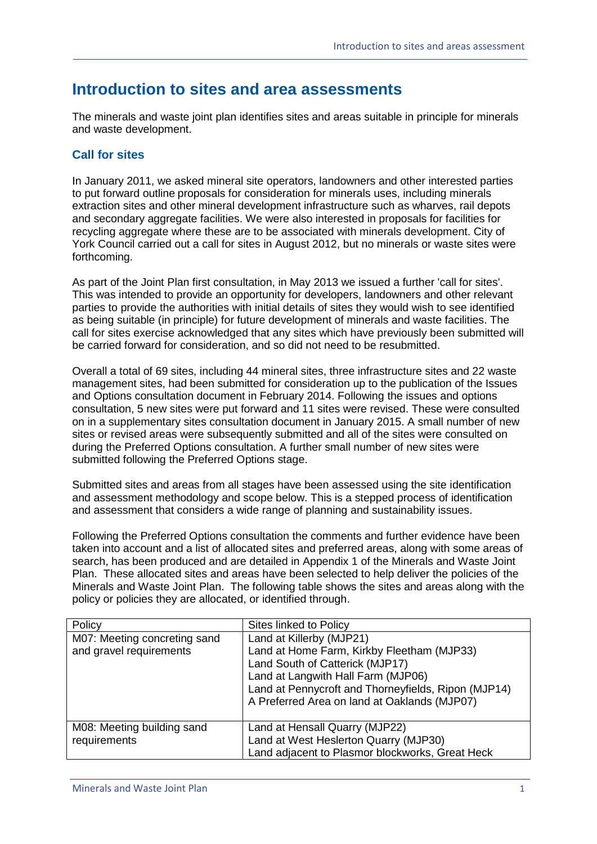# **Introduction to sites and area assessments**

The minerals and waste joint plan identifies sites and areas suitable in principle for minerals and waste development.

## **Call for sites**

In January 2011, we asked mineral site operators, landowners and other interested parties to put forward outline proposals for consideration for minerals uses, including minerals extraction sites and other mineral development infrastructure such as wharves, rail depots and secondary aggregate facilities. We were also interested in proposals for facilities for recycling aggregate where these are to be associated with minerals development. City of York Council carried out a call for sites in August 2012, but no minerals or waste sites were forthcoming.

As part of the Joint Plan first consultation, in May 2013 we issued a further 'call for sites'. This was intended to provide an opportunity for developers, landowners and other relevant parties to provide the authorities with initial details of sites they would wish to see identified as being suitable (in principle) for future development of minerals and waste facilities. The call for sites exercise acknowledged that any sites which have previously been submitted will be carried forward for consideration, and so did not need to be resubmitted.

Overall a total of 69 sites, including 44 mineral sites, three infrastructure sites and 22 waste management sites, had been submitted for consideration up to the publication of the Issues and Options consultation document in February 2014. Following the issues and options consultation, 5 new sites were put forward and 11 sites were revised. These were consulted on in a supplementary sites consultation document in January 2015. A small number of new sites or revised areas were subsequently submitted and all of the sites were consulted on during the Preferred Options consultation. A further small number of new sites were submitted following the Preferred Options stage.

Submitted sites and areas from all stages have been assessed using the site identification and assessment methodology and scope below. This is a stepped process of identification and assessment that considers a wide range of planning and sustainability issues.

Following the Preferred Options consultation the comments and further evidence have been taken into account and a list of allocated sites and preferred areas, along with some areas of search, has been produced and are detailed in Appendix 1 of the Minerals and Waste Joint Plan. These allocated sites and areas have been selected to help deliver the policies of the Minerals and Waste Joint Plan. The following table shows the sites and areas along with the policy or policies they are allocated, or identified through.

| Policy                                                  | Sites linked to Policy                                                                                                                                                                                                                                 |
|---------------------------------------------------------|--------------------------------------------------------------------------------------------------------------------------------------------------------------------------------------------------------------------------------------------------------|
| M07: Meeting concreting sand<br>and gravel requirements | Land at Killerby (MJP21)<br>Land at Home Farm, Kirkby Fleetham (MJP33)<br>Land South of Catterick (MJP17)<br>Land at Langwith Hall Farm (MJP06)<br>Land at Pennycroft and Thorneyfields, Ripon (MJP14)<br>A Preferred Area on land at Oaklands (MJP07) |
| M08: Meeting building sand<br>requirements              | Land at Hensall Quarry (MJP22)<br>Land at West Heslerton Quarry (MJP30)<br>Land adjacent to Plasmor blockworks, Great Heck                                                                                                                             |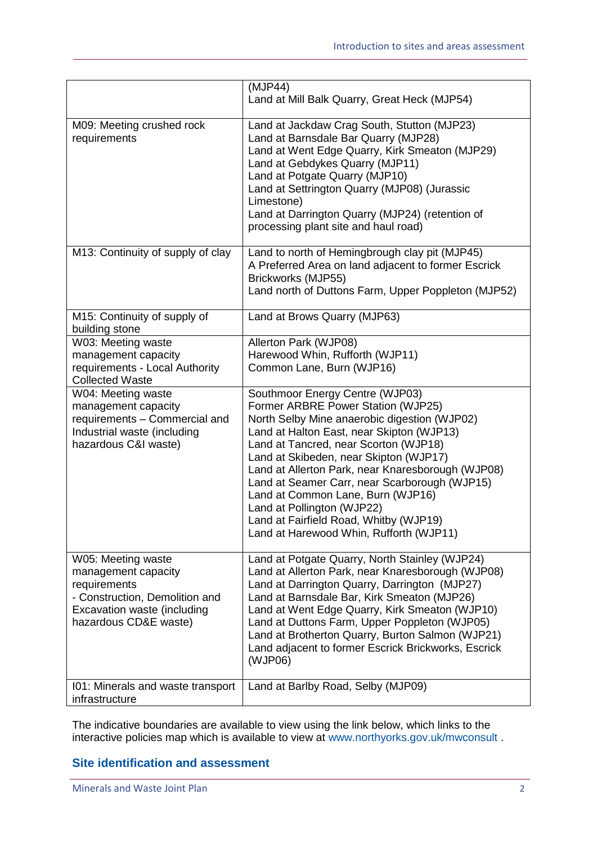|                                                                                                                                                     | (MJP44)<br>Land at Mill Balk Quarry, Great Heck (MJP54)                                                                                                                                                                                                                                                                                                                                                                                                                                                             |
|-----------------------------------------------------------------------------------------------------------------------------------------------------|---------------------------------------------------------------------------------------------------------------------------------------------------------------------------------------------------------------------------------------------------------------------------------------------------------------------------------------------------------------------------------------------------------------------------------------------------------------------------------------------------------------------|
| M09: Meeting crushed rock<br>requirements                                                                                                           | Land at Jackdaw Crag South, Stutton (MJP23)<br>Land at Barnsdale Bar Quarry (MJP28)<br>Land at Went Edge Quarry, Kirk Smeaton (MJP29)<br>Land at Gebdykes Quarry (MJP11)<br>Land at Potgate Quarry (MJP10)<br>Land at Settrington Quarry (MJP08) (Jurassic<br>Limestone)<br>Land at Darrington Quarry (MJP24) (retention of<br>processing plant site and haul road)                                                                                                                                                 |
| M13: Continuity of supply of clay                                                                                                                   | Land to north of Hemingbrough clay pit (MJP45)<br>A Preferred Area on land adjacent to former Escrick<br>Brickworks (MJP55)<br>Land north of Duttons Farm, Upper Poppleton (MJP52)                                                                                                                                                                                                                                                                                                                                  |
| M15: Continuity of supply of<br>building stone                                                                                                      | Land at Brows Quarry (MJP63)                                                                                                                                                                                                                                                                                                                                                                                                                                                                                        |
| W03: Meeting waste<br>management capacity<br>requirements - Local Authority<br><b>Collected Waste</b>                                               | Allerton Park (WJP08)<br>Harewood Whin, Rufforth (WJP11)<br>Common Lane, Burn (WJP16)                                                                                                                                                                                                                                                                                                                                                                                                                               |
| W04: Meeting waste<br>management capacity<br>requirements - Commercial and<br>Industrial waste (including<br>hazardous C&I waste)                   | Southmoor Energy Centre (WJP03)<br>Former ARBRE Power Station (WJP25)<br>North Selby Mine anaerobic digestion (WJP02)<br>Land at Halton East, near Skipton (WJP13)<br>Land at Tancred, near Scorton (WJP18)<br>Land at Skibeden, near Skipton (WJP17)<br>Land at Allerton Park, near Knaresborough (WJP08)<br>Land at Seamer Carr, near Scarborough (WJP15)<br>Land at Common Lane, Burn (WJP16)<br>Land at Pollington (WJP22)<br>Land at Fairfield Road, Whitby (WJP19)<br>Land at Harewood Whin, Rufforth (WJP11) |
| W05: Meeting waste<br>management capacity<br>requirements<br>- Construction, Demolition and<br>Excavation waste (including<br>hazardous CD&E waste) | Land at Potgate Quarry, North Stainley (WJP24)<br>Land at Allerton Park, near Knaresborough (WJP08)<br>Land at Darrington Quarry, Darrington (MJP27)<br>Land at Barnsdale Bar, Kirk Smeaton (MJP26)<br>Land at Went Edge Quarry, Kirk Smeaton (WJP10)<br>Land at Duttons Farm, Upper Poppleton (WJP05)<br>Land at Brotherton Quarry, Burton Salmon (WJP21)<br>Land adjacent to former Escrick Brickworks, Escrick<br>(WJP06)                                                                                        |
| 101: Minerals and waste transport<br>infrastructure                                                                                                 | Land at Barlby Road, Selby (MJP09)                                                                                                                                                                                                                                                                                                                                                                                                                                                                                  |

The indicative boundaries are available to view using the link below, which links to the interactive policies map which is available to view at [www.northyorks.gov.uk/mwconsult](http://www.northyorks.gov.uk/mwconsult) .

# **Site identification and assessment**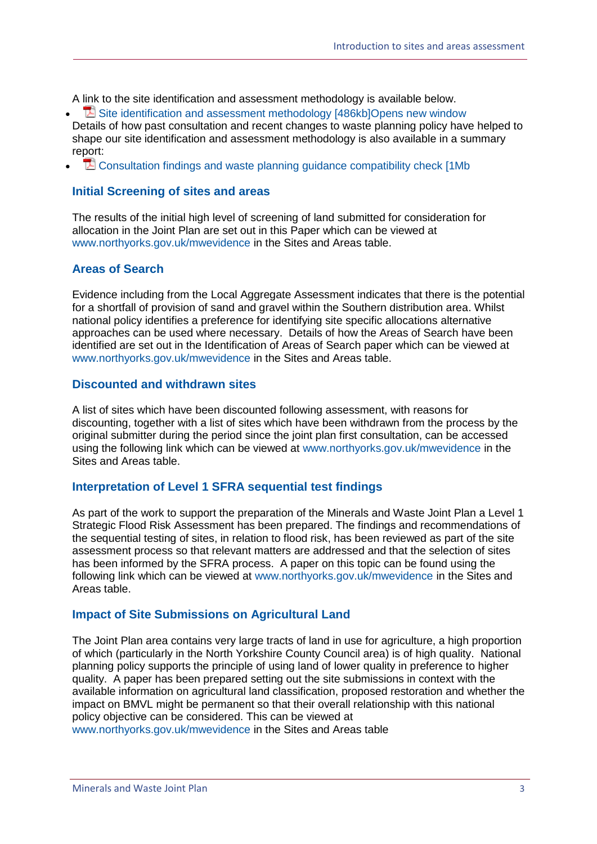A link to the site identification and assessment methodology is available below.

- **E** [Site identification and assessment methodology \[486kb\]Opens new window](http://www.northyorks.gov.uk/media/27287/Site-Assessment-Methodology-and-Scope/pdf/Site_Identification_and_Assessment_Methodology_January_2015_(update).pdf) Details of how past consultation and recent changes to waste planning policy have helped to shape our site identification and assessment methodology is also available in a summary report:
- **T**<sup>2</sup> [Consultation findings and waste planning guidance compatibility check \[1Mb](http://www.northyorks.gov.uk/media/30252/Consultation-findings-and-waste-planning-guidance-compatibility-check/pdf/Site_Assessment_consultation_outcomes_and_planning_check.pdf)]

#### **Initial Screening of sites and areas**

The results of the initial high level of screening of land submitted for consideration for allocation in the Joint Plan are set out in this Paper which can be viewed at [www.northyorks.gov.uk/mwevidence](http://www.northyorks.gov.uk/mwevidence) in the Sites and Areas table.

#### **Areas of Search**

Evidence including from the Local Aggregate Assessment indicates that there is the potential for a shortfall of provision of sand and gravel within the Southern distribution area. Whilst national policy identifies a preference for identifying site specific allocations alternative approaches can be used where necessary. Details of how the Areas of Search have been identified are set out in the Identification of Areas of Search paper which can be viewed at [www.northyorks.gov.uk/mwevidence](http://www.northyorks.gov.uk/mwevidence) in the Sites and Areas table.

#### **Discounted and withdrawn sites**

A list of sites which have been discounted following assessment, with reasons for discounting, together with a list of sites which have been withdrawn from the process by the original submitter during the period since the joint plan first consultation, can be accessed using the following link which can be viewed at [www.northyorks.gov.uk/mwevidence](http://www.northyorks.gov.uk/mwevidence) in the Sites and Areas table.

#### **Interpretation of Level 1 SFRA sequential test findings**

As part of the work to support the preparation of the Minerals and Waste Joint Plan a Level 1 Strategic Flood Risk Assessment has been prepared. The findings and recommendations of the sequential testing of sites, in relation to flood risk, has been reviewed as part of the site assessment process so that relevant matters are addressed and that the selection of sites has been informed by the SFRA process. A paper on this topic can be found using the following link which can be viewed at [www.northyorks.gov.uk/mwevidence](http://www.northyorks.gov.uk/mwevidence) in the Sites and Areas table.

#### **Impact of Site Submissions on Agricultural Land**

The Joint Plan area contains very large tracts of land in use for agriculture, a high proportion of which (particularly in the North Yorkshire County Council area) is of high quality. National planning policy supports the principle of using land of lower quality in preference to higher quality. A paper has been prepared setting out the site submissions in context with the available information on agricultural land classification, proposed restoration and whether the impact on BMVL might be permanent so that their overall relationship with this national policy objective can be considered. This can be viewed at

[www.northyorks.gov.uk/mwevidence](http://www.northyorks.gov.uk/mwevidence) in the Sites and Areas table